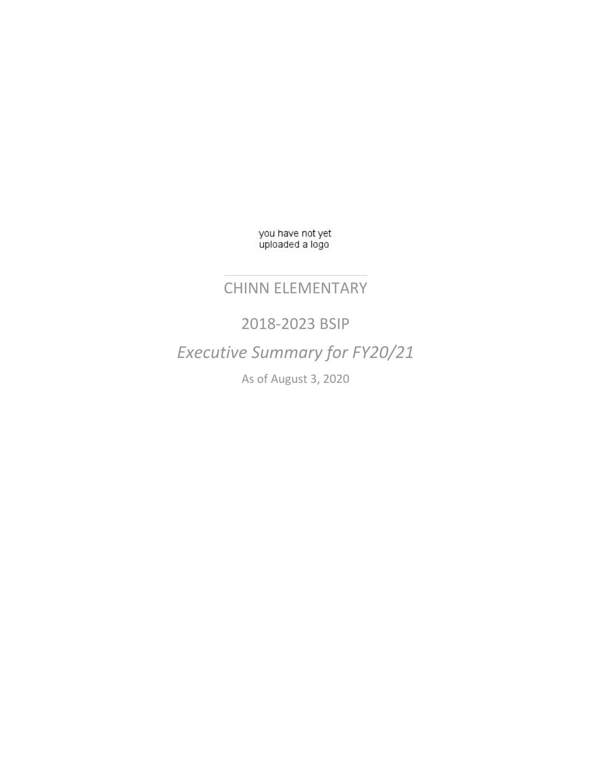you have not yet<br>uploaded a logo

### CHINN ELEMENTARY

2018-2023 BSIP *Executive Summary for FY20/21* As of August 3, 2020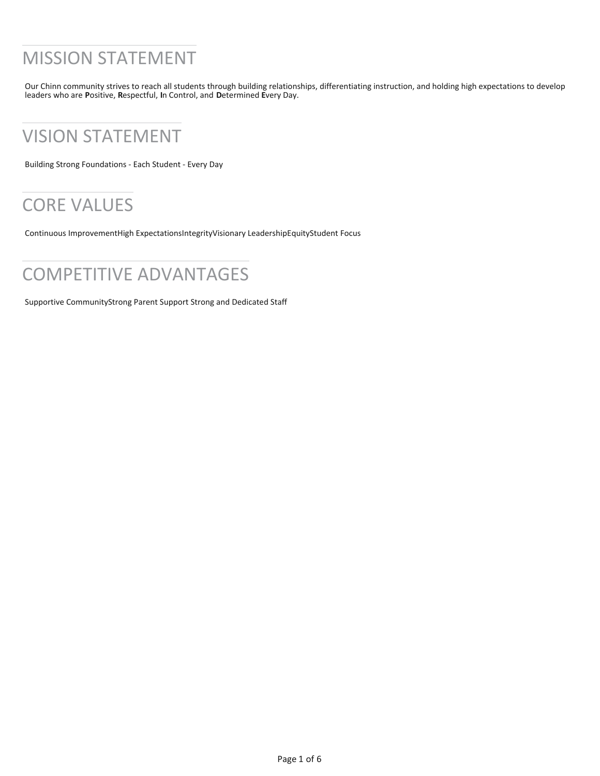# MISSION STATEMENT

Our Chinn community strives to reach all students through building relationships, differentiating instruction, and holding high expectations to develop leaders who are **P**ositive, **R**espectful, **I**n Control, and **D**etermined **E**very Day.

## VISION STATEMENT

Building Strong Foundations - Each Student - Every Day

# CORE VALUES

Continuous ImprovementHigh ExpectationsIntegrityVisionary LeadershipEquityStudent Focus

## COMPETITIVE ADVANTAGES

Supportive CommunityStrong Parent Support Strong and Dedicated Staff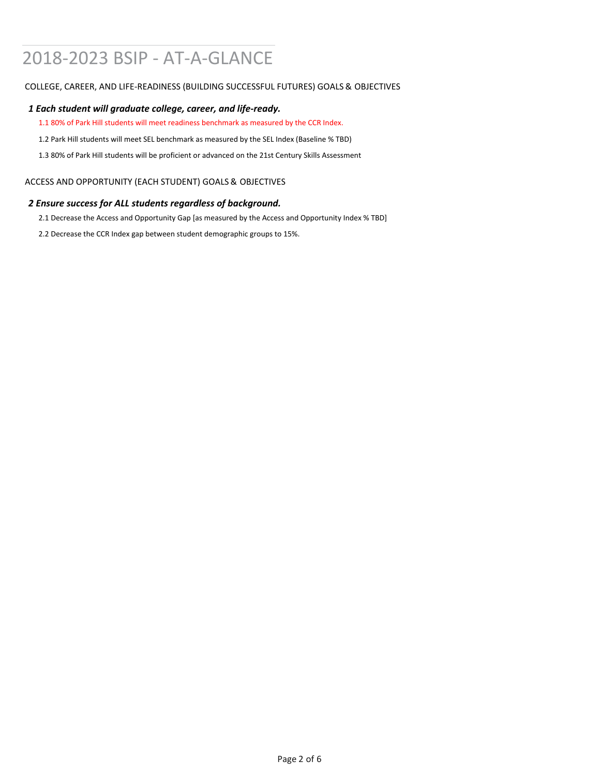# 2018-2023 BSIP - AT-A-GLANCE

### COLLEGE, CAREER, AND LIFE-READINESS (BUILDING SUCCESSFUL FUTURES) GOALS & OBJECTIVES

### *1 Each student will graduate college, career, and life-ready.*

1.1 80% of Park Hill students will meet readiness benchmark as measured by the CCR Index.

1.2 Park Hill students will meet SEL benchmark as measured by the SEL Index (Baseline % TBD)

1.3 80% of Park Hill students will be proficient or advanced on the 21st Century Skills Assessment

### ACCESS AND OPPORTUNITY (EACH STUDENT) GOALS & OBJECTIVES

### *2 Ensure success for ALL students regardless of background.*

2.1 Decrease the Access and Opportunity Gap [as measured by the Access and Opportunity Index % TBD]

2.2 Decrease the CCR Index gap between student demographic groups to 15%.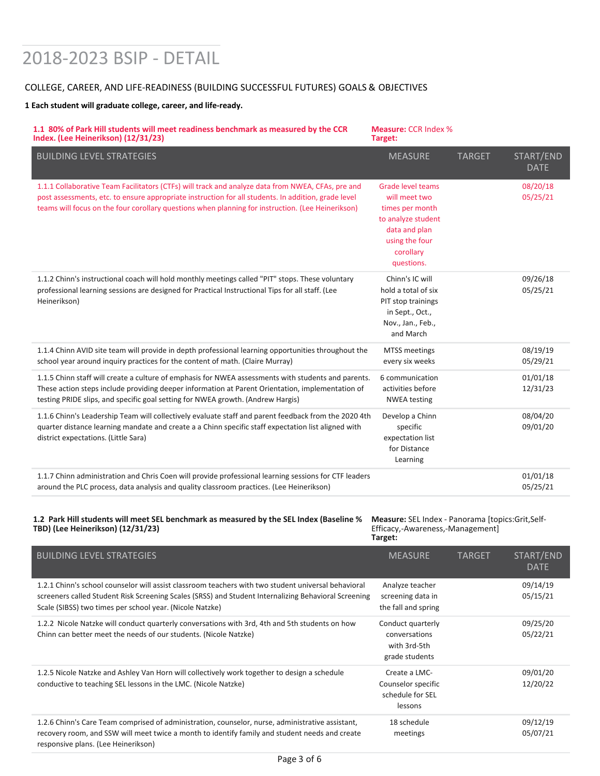# 2018-2023 BSIP - DETAIL

### COLLEGE, CAREER, AND LIFE-READINESS (BUILDING SUCCESSFUL FUTURES) GOALS & OBJECTIVES

#### **1 Each student will graduate college, career, and life-ready.**

| 1.1 80% of Park Hill students will meet readiness benchmark as measured by the CCR<br>Index. (Lee Heinerikson) (12/31/23)                                                                                                                                                                                     | <b>Measure: CCR Index %</b><br>Target:                                                                                                           |               |                          |
|---------------------------------------------------------------------------------------------------------------------------------------------------------------------------------------------------------------------------------------------------------------------------------------------------------------|--------------------------------------------------------------------------------------------------------------------------------------------------|---------------|--------------------------|
| <b>BUILDING LEVEL STRATEGIES</b>                                                                                                                                                                                                                                                                              | <b>MEASURE</b>                                                                                                                                   | <b>TARGET</b> | START/END<br><b>DATE</b> |
| 1.1.1 Collaborative Team Facilitators (CTFs) will track and analyze data from NWEA, CFAs, pre and<br>post assessments, etc. to ensure appropriate instruction for all students. In addition, grade level<br>teams will focus on the four corollary questions when planning for instruction. (Lee Heinerikson) | <b>Grade level teams</b><br>will meet two<br>times per month<br>to analyze student<br>data and plan<br>using the four<br>corollary<br>questions. |               | 08/20/18<br>05/25/21     |
| 1.1.2 Chinn's instructional coach will hold monthly meetings called "PIT" stops. These voluntary<br>professional learning sessions are designed for Practical Instructional Tips for all staff. (Lee<br>Heinerikson)                                                                                          | Chinn's IC will<br>hold a total of six<br>PIT stop trainings<br>in Sept., Oct.,<br>Nov., Jan., Feb.,<br>and March                                |               | 09/26/18<br>05/25/21     |
| 1.1.4 Chinn AVID site team will provide in depth professional learning opportunities throughout the<br>school year around inquiry practices for the content of math. (Claire Murray)                                                                                                                          | <b>MTSS</b> meetings<br>every six weeks                                                                                                          |               | 08/19/19<br>05/29/21     |
| 1.1.5 Chinn staff will create a culture of emphasis for NWEA assessments with students and parents.<br>These action steps include providing deeper information at Parent Orientation, implementation of<br>testing PRIDE slips, and specific goal setting for NWEA growth. (Andrew Hargis)                    | 6 communication<br>activities before<br><b>NWEA</b> testing                                                                                      |               | 01/01/18<br>12/31/23     |
| 1.1.6 Chinn's Leadership Team will collectively evaluate staff and parent feedback from the 2020 4th<br>quarter distance learning mandate and create a a Chinn specific staff expectation list aligned with<br>district expectations. (Little Sara)                                                           | Develop a Chinn<br>specific<br>expectation list<br>for Distance<br>Learning                                                                      |               | 08/04/20<br>09/01/20     |
| 1.1.7 Chinn administration and Chris Coen will provide professional learning sessions for CTF leaders<br>around the PLC process, data analysis and quality classroom practices. (Lee Heinerikson)                                                                                                             |                                                                                                                                                  |               | 01/01/18<br>05/25/21     |

#### **1.2 Park Hill students will meet SEL benchmark as measured by the SEL Index (Baseline % TBD) (Lee Heinerikson) (12/31/23)**

**Measure:** SEL Index - Panorama [topics:Grit,Self-Efficacy,-Awareness,-Management] **Target:**

| <b>BUILDING LEVEL STRATEGIES</b>                                                                                                                                                                                                                                        | <b>MEASURE</b>                                                       | <b>TARGET</b> | START/END<br><b>DATE</b> |
|-------------------------------------------------------------------------------------------------------------------------------------------------------------------------------------------------------------------------------------------------------------------------|----------------------------------------------------------------------|---------------|--------------------------|
| 1.2.1 Chinn's school counselor will assist classroom teachers with two student universal behavioral<br>screeners called Student Risk Screening Scales (SRSS) and Student Internalizing Behavioral Screening<br>Scale (SIBSS) two times per school year. (Nicole Natzke) | Analyze teacher<br>screening data in<br>the fall and spring          |               | 09/14/19<br>05/15/21     |
| 1.2.2 Nicole Natzke will conduct quarterly conversations with 3rd, 4th and 5th students on how<br>Chinn can better meet the needs of our students. (Nicole Natzke)                                                                                                      | Conduct quarterly<br>conversations<br>with 3rd-5th<br>grade students |               | 09/25/20<br>05/22/21     |
| 1.2.5 Nicole Natzke and Ashley Van Horn will collectively work together to design a schedule<br>conductive to teaching SEL lessons in the LMC. (Nicole Natzke)                                                                                                          | Create a LMC-<br>Counselor specific<br>schedule for SEL<br>lessons   |               | 09/01/20<br>12/20/22     |
| 1.2.6 Chinn's Care Team comprised of administration, counselor, nurse, administrative assistant,<br>recovery room, and SSW will meet twice a month to identify family and student needs and create<br>responsive plans. (Lee Heinerikson)                               | 18 schedule<br>meetings                                              |               | 09/12/19<br>05/07/21     |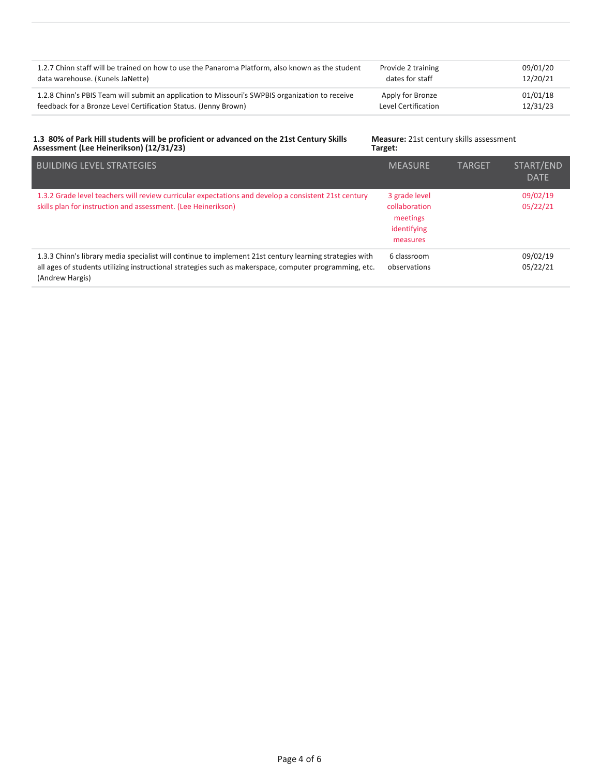| 1.2.7 Chinn staff will be trained on how to use the Panaroma Platform, also known as the student | Provide 2 training  | 09/01/20 |
|--------------------------------------------------------------------------------------------------|---------------------|----------|
| data warehouse. (Kunels JaNette)                                                                 | dates for staff     | 12/20/21 |
| 1.2.8 Chinn's PBIS Team will submit an application to Missouri's SWPBIS organization to receive  | Apply for Bronze    | 01/01/18 |
| feedback for a Bronze Level Certification Status. (Jenny Brown)                                  | Level Certification | 12/31/23 |

#### **1.3 80% of Park Hill students will be proficient or advanced on the 21st Century Skills Assessment (Lee Heinerikson) (12/31/23)**

**Measure:** 21st century skills assessment **Target:**

| <b>BUILDING LEVEL STRATEGIES</b>                                                                                                                                                                                                     | <b>MEASURE</b>                                                        | <b>TARGET</b> | START/END<br><b>DATE</b> |
|--------------------------------------------------------------------------------------------------------------------------------------------------------------------------------------------------------------------------------------|-----------------------------------------------------------------------|---------------|--------------------------|
| 1.3.2 Grade level teachers will review curricular expectations and develop a consistent 21st century<br>skills plan for instruction and assessment. (Lee Heinerikson)                                                                | 3 grade level<br>collaboration<br>meetings<br>identifying<br>measures |               | 09/02/19<br>05/22/21     |
| 1.3.3 Chinn's library media specialist will continue to implement 21st century learning strategies with<br>all ages of students utilizing instructional strategies such as makerspace, computer programming, etc.<br>(Andrew Hargis) | 6 classroom<br>observations                                           |               | 09/02/19<br>05/22/21     |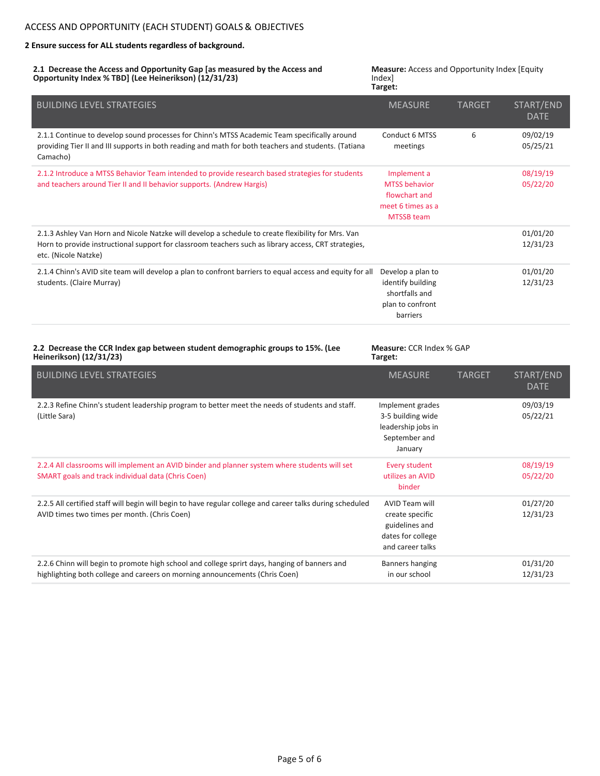#### **2 Ensure success for ALL students regardless of background.**

**2.1 Decrease the Access and Opportunity Gap [as measured by the Access and Opportunity Index % TBD] (Lee Heinerikson) (12/31/23)**

**Measure:** Access and Opportunity Index [Equity Index] **Target:**

| <b>BUILDING LEVEL STRATEGIES</b>                                                                                                                                                                                                   | <b>MEASURE</b>                                                                                 | <b>TARGET</b> | START/END<br><b>DATE</b> |
|------------------------------------------------------------------------------------------------------------------------------------------------------------------------------------------------------------------------------------|------------------------------------------------------------------------------------------------|---------------|--------------------------|
| 2.1.1 Continue to develop sound processes for Chinn's MTSS Academic Team specifically around<br>providing Tier II and III supports in both reading and math for both teachers and students. (Tatiana<br>Camacho)                   | Conduct 6 MTSS<br>meetings                                                                     | 6             | 09/02/19<br>05/25/21     |
| 2.1.2 Introduce a MTSS Behavior Team intended to provide research based strategies for students<br>and teachers around Tier II and II behavior supports. (Andrew Hargis)                                                           | Implement a<br><b>MTSS</b> behavior<br>flowchart and<br>meet 6 times as a<br><b>MTSSB</b> team |               | 08/19/19<br>05/22/20     |
| 2.1.3 Ashley Van Horn and Nicole Natzke will develop a schedule to create flexibility for Mrs. Van<br>Horn to provide instructional support for classroom teachers such as library access, CRT strategies,<br>etc. (Nicole Natzke) |                                                                                                |               | 01/01/20<br>12/31/23     |
| 2.1.4 Chinn's AVID site team will develop a plan to confront barriers to equal access and equity for all<br>students. (Claire Murray)                                                                                              | Develop a plan to<br>identify building<br>shortfalls and<br>plan to confront<br>barriers       |               | 01/01/20<br>12/31/23     |

#### **2.2 Decrease the CCR Index gap between student demographic groups to 15%. (Lee Heinerikson) (12/31/23)**

**Measure:** CCR Index % GAP **Target:**

| <b>BUILDING LEVEL STRATEGIES</b>                                                                                                                                             | <b>MEASURE</b>                                                                               | <b>TARGET</b> | START/END<br><b>DATE</b> |
|------------------------------------------------------------------------------------------------------------------------------------------------------------------------------|----------------------------------------------------------------------------------------------|---------------|--------------------------|
| 2.2.3 Refine Chinn's student leadership program to better meet the needs of students and staff.<br>(Little Sara)                                                             | Implement grades<br>3-5 building wide<br>leadership jobs in<br>September and<br>January      |               | 09/03/19<br>05/22/21     |
| 2.2.4 All classrooms will implement an AVID binder and planner system where students will set<br>SMART goals and track individual data (Chris Coen)                          | Every student<br>utilizes an AVID<br>binder                                                  |               | 08/19/19<br>05/22/20     |
| 2.2.5 All certified staff will begin will begin to have regular college and career talks during scheduled<br>AVID times two times per month. (Chris Coen)                    | AVID Team will<br>create specific<br>guidelines and<br>dates for college<br>and career talks |               | 01/27/20<br>12/31/23     |
| 2.2.6 Chinn will begin to promote high school and college sprirt days, hanging of banners and<br>highlighting both college and careers on morning announcements (Chris Coen) | Banners hanging<br>in our school                                                             |               | 01/31/20<br>12/31/23     |